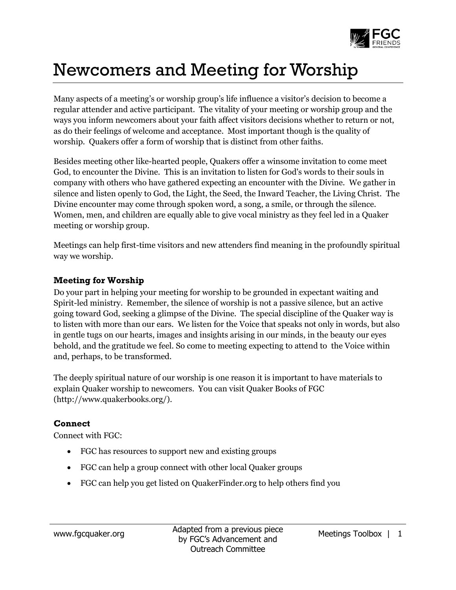

## Newcomers and Meeting for Worship

Many aspects of a meeting's or worship group's life influence a visitor's decision to become a regular attender and active participant. The vitality of your meeting or worship group and the ways you inform newcomers about your faith affect visitors decisions whether to return or not, as do their feelings of welcome and acceptance. Most important though is the quality of worship. Quakers offer a form of worship that is distinct from other faiths.

Besides meeting other like-hearted people, Quakers offer a winsome invitation to come meet God, to encounter the Divine. This is an invitation to listen for God's words to their souls in company with others who have gathered expecting an encounter with the Divine. We gather in silence and listen openly to God, the Light, the Seed, the Inward Teacher, the Living Christ. The Divine encounter may come through spoken word, a song, a smile, or through the silence. Women, men, and children are equally able to give vocal ministry as they feel led in a Quaker meeting or worship group.

Meetings can help first-time visitors and new attenders find meaning in the profoundly spiritual way we worship.

## **Meeting for Worship**

Do your part in helping your meeting for worship to be grounded in expectant waiting and Spirit-led ministry. Remember, the silence of worship is not a passive silence, but an active going toward God, seeking a glimpse of the Divine. The special discipline of the Quaker way is to listen with more than our ears. We listen for the Voice that speaks not only in words, but also in gentle tugs on our hearts, images and insights arising in our minds, in the beauty our eyes behold, and the gratitude we feel. So come to meeting expecting to attend to the Voice within and, perhaps, to be transformed.

The deeply spiritual nature of our worship is one reason it is important to have materials to explain Quaker worship to newcomers. You can visit Quaker Books of FGC (http://www.quakerbooks.org/).

## **Connect**

Connect with FGC:

- FGC has resources to support new and existing groups
- FGC can help a group connect with other local Quaker groups
- FGC can help you get listed on QuakerFinder.org to help others find you